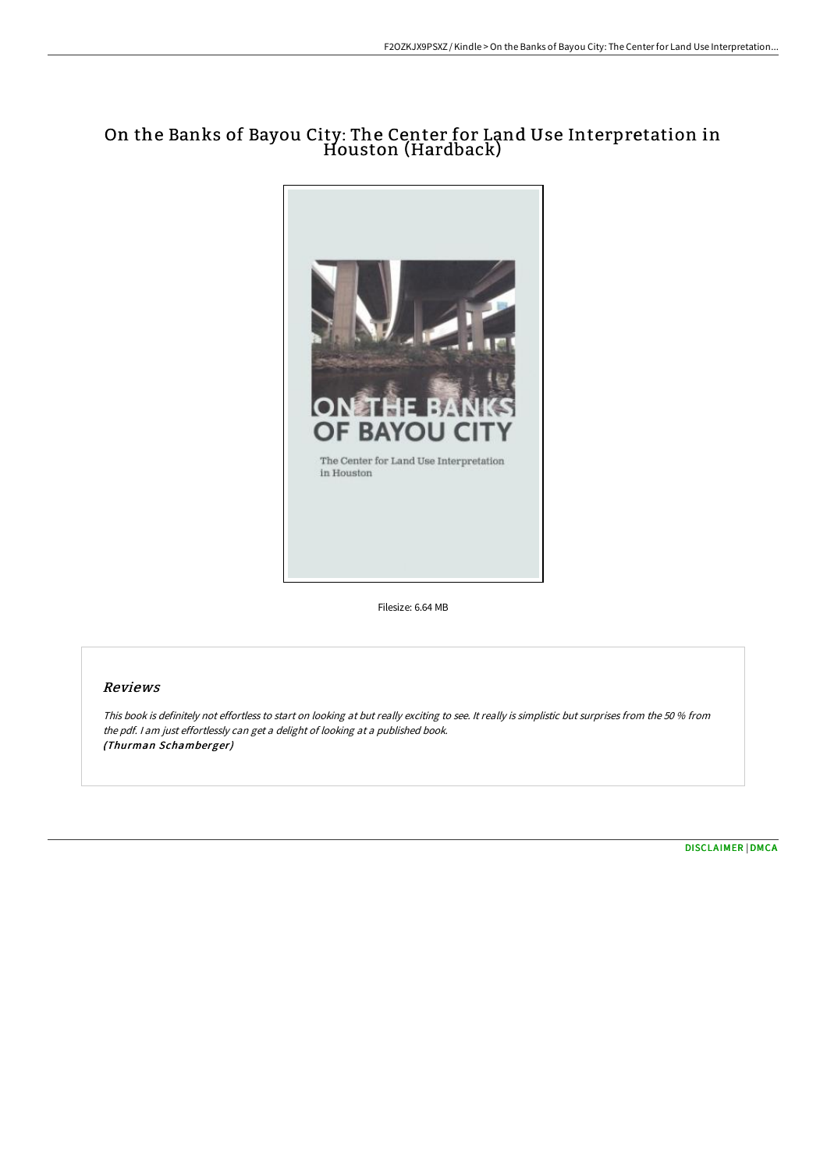# On the Banks of Bayou City: The Center for Land Use Interpretation in Houston (Hardback)



Filesize: 6.64 MB

## Reviews

This book is definitely not effortless to start on looking at but really exciting to see. It really is simplistic but surprises from the <sup>50</sup> % from the pdf. <sup>I</sup> am just effortlessly can get <sup>a</sup> delight of looking at <sup>a</sup> published book. (Thurman Schamberger)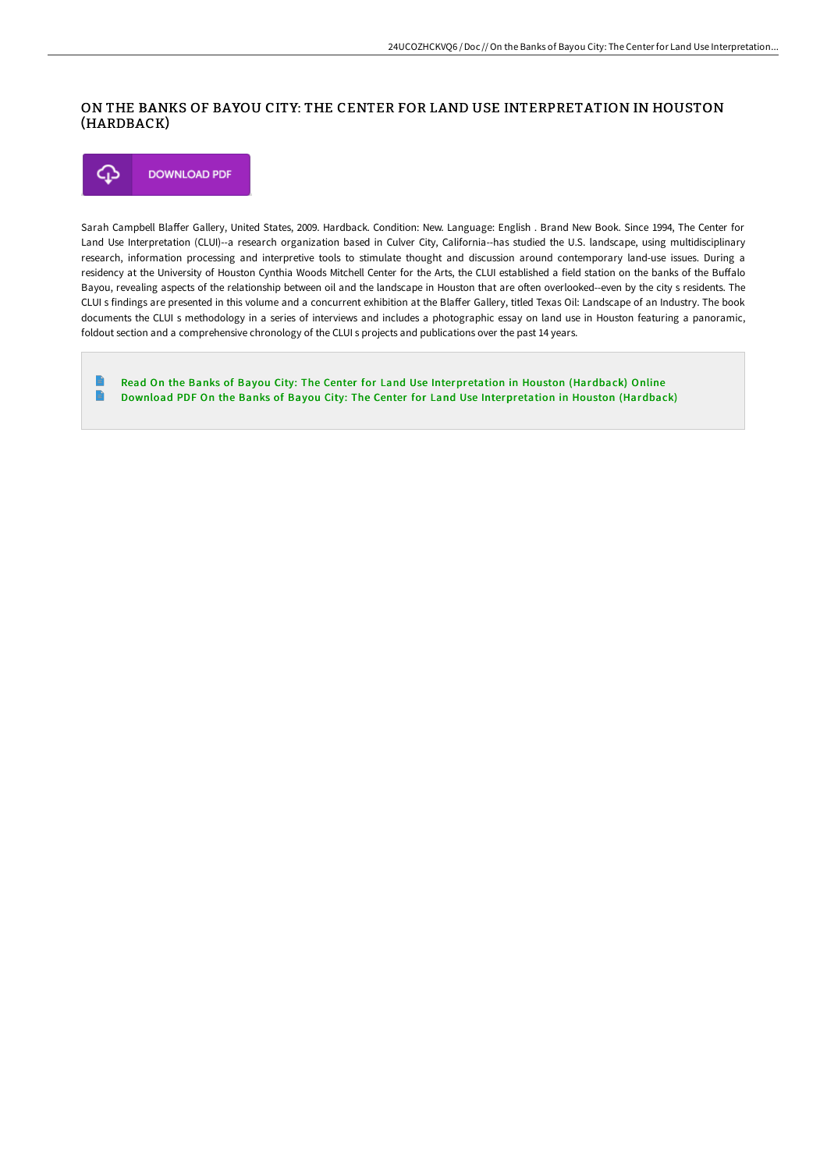### ON THE BANKS OF BAYOU CITY: THE CENTER FOR LAND USE INTERPRETATION IN HOUSTON (HARDBACK)



Sarah Campbell Blaffer Gallery, United States, 2009. Hardback. Condition: New. Language: English . Brand New Book. Since 1994, The Center for Land Use Interpretation (CLUI)--a research organization based in Culver City, California--has studied the U.S. landscape, using multidisciplinary research, information processing and interpretive tools to stimulate thought and discussion around contemporary land-use issues. During a residency at the University of Houston Cynthia Woods Mitchell Center for the Arts, the CLUI established a field station on the banks of the Buffalo Bayou, revealing aspects of the relationship between oil and the landscape in Houston that are often overlooked--even by the city s residents. The CLUI s findings are presented in this volume and a concurrent exhibition at the Blaffer Gallery, titled Texas Oil: Landscape of an Industry. The book documents the CLUI s methodology in a series of interviews and includes a photographic essay on land use in Houston featuring a panoramic, foldout section and a comprehensive chronology of the CLUI s projects and publications over the past 14 years.

Read On the Banks of Bayou City: The Center for Land Use [Interpretation](http://albedo.media/on-the-banks-of-bayou-city-the-center-for-land-u.html) in Houston (Hardback) Online  $\Rightarrow$ Download PDF On the Banks of Bayou City: The Center for Land Use [Interpretation](http://albedo.media/on-the-banks-of-bayou-city-the-center-for-land-u.html) in Houston (Hardback)